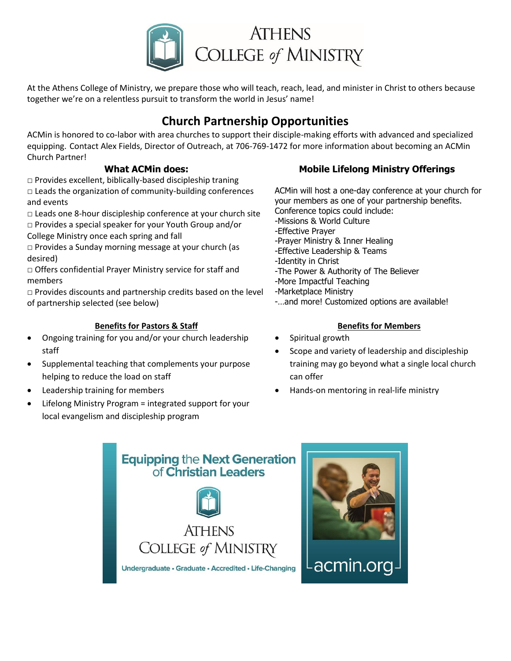

At the Athens College of Ministry, we prepare those who will teach, reach, lead, and minister in Christ to others because together we're on a relentless pursuit to transform the world in Jesus' name!

# **Church Partnership Opportunities**

ACMin is honored to co-labor with area churches to support their disciple-making efforts with advanced and specialized equipping. Contact Alex Fields, Director of Outreach, at 706-769-1472 for more information about becoming an ACMin Church Partner!

### **What ACMin does:**

 $\Box$  Provides excellent, biblically-based discipleship traning  $\Box$  Leads the organization of community-building conferences and events

 $\Box$  Leads one 8-hour discipleship conference at your church site

□ Provides a special speaker for your Youth Group and/or College Ministry once each spring and fall

□ Provides a Sunday morning message at your church (as desired)

□ Offers confidential Prayer Ministry service for staff and members

 $\square$  Provides discounts and partnership credits based on the level of partnership selected (see below)

#### **Benefits for Pastors & Staff**

- Ongoing training for you and/or your church leadership staff
- Supplemental teaching that complements your purpose helping to reduce the load on staff
- Leadership training for members
- Lifelong Ministry Program = integrated support for your local evangelism and discipleship program

## **Mobile Lifelong Ministry Offerings**

ACMin will host a one-day conference at your church for your members as one of your partnership benefits. Conference topics could include: -Missions & World Culture -Effective Prayer -Prayer Ministry & Inner Healing -Effective Leadership & Teams -Identity in Christ -The Power & Authority of The Believer -More Impactful Teaching -Marketplace Ministry -…and more! Customized options are available!

- **Benefits for Members**
- Spiritual growth
- Scope and variety of leadership and discipleship training may go beyond what a single local church can offer
- Hands-on mentoring in real-life ministry